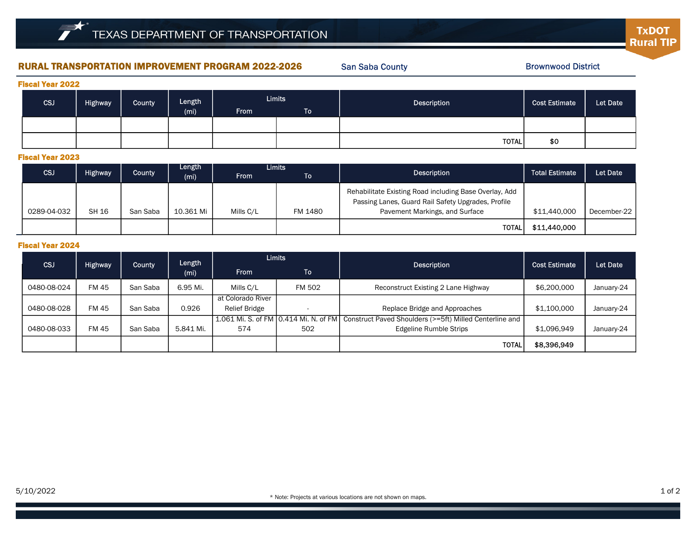## RURAL TRANSPORTATION IMPROVEMENT PROGRAM 2022-2026

San Saba County

Brownwood District

**TxDOT Rural TIP** 

| <b>Fiscal Year 2022</b> |         |        |                             |               |           |              |                      |          |  |  |  |
|-------------------------|---------|--------|-----------------------------|---------------|-----------|--------------|----------------------|----------|--|--|--|
| CSJ                     | Highway | County | Length<br>(m <sub>i</sub> ) | <b>Limits</b> |           | Description  | <b>Cost Estimate</b> | Let Date |  |  |  |
|                         |         |        |                             | <b>From</b>   | <b>To</b> |              |                      |          |  |  |  |
|                         |         |        |                             |               |           |              |                      |          |  |  |  |
|                         |         |        |                             |               |           | <b>TOTAL</b> | \$0                  |          |  |  |  |

#### Fiscal Year 2023

| <b>CSJ</b>  | <b>Highway</b> | County   | Length<br>(mi) | <b>Limits</b><br><b>From</b> | ΤоΙ     | Description                                                                                                                                    | <b>Total Estimate</b> | Let Date    |
|-------------|----------------|----------|----------------|------------------------------|---------|------------------------------------------------------------------------------------------------------------------------------------------------|-----------------------|-------------|
| 0289-04-032 | <b>SH 16</b>   | San Saba | 10.361 Mi      | Mills C/L                    | FM 1480 | Rehabilitate Existing Road including Base Overlay, Add<br>Passing Lanes, Guard Rail Safety Upgrades, Profile<br>Pavement Markings, and Surface | \$11,440,000          | December-22 |
|             |                |          |                |                              |         | <b>TOTAL</b>                                                                                                                                   | \$11,440,000          |             |

### Fiscal Year 2024

| <b>CSJ</b>  | <b>Highway</b> | County   | Length<br>(m <sub>i</sub> ) | <b>Limits</b>                          |        | <b>Description</b>                                      | <b>Cost Estimate</b> | Let Date   |
|-------------|----------------|----------|-----------------------------|----------------------------------------|--------|---------------------------------------------------------|----------------------|------------|
|             |                |          |                             | <b>From</b>                            | To l   |                                                         |                      |            |
| 0480-08-024 | <b>FM45</b>    | San Saba | 6.95 Mi.                    | Mills C/L                              | FM 502 | Reconstruct Existing 2 Lane Highway                     | \$6,200,000          | January-24 |
|             |                |          |                             | at Colorado River                      |        |                                                         |                      |            |
| 0480-08-028 | FM 45          | San Saba | 0.926                       | <b>Relief Bridge</b>                   |        | Replace Bridge and Approaches                           | \$1,100,000          | January-24 |
|             |                |          |                             | 1.061 Mi. S. of FM 10.414 Mi. N. of FM |        | Construct Paved Shoulders (>=5ft) Milled Centerline and |                      |            |
| 0480-08-033 | <b>FM45</b>    | San Saba | 5.841 Mi.                   | 574                                    | 502    | <b>Edgeline Rumble Strips</b>                           | \$1,096,949          | January-24 |
|             |                |          |                             |                                        |        | <b>TOTAL</b>                                            | \$8,396,949          |            |